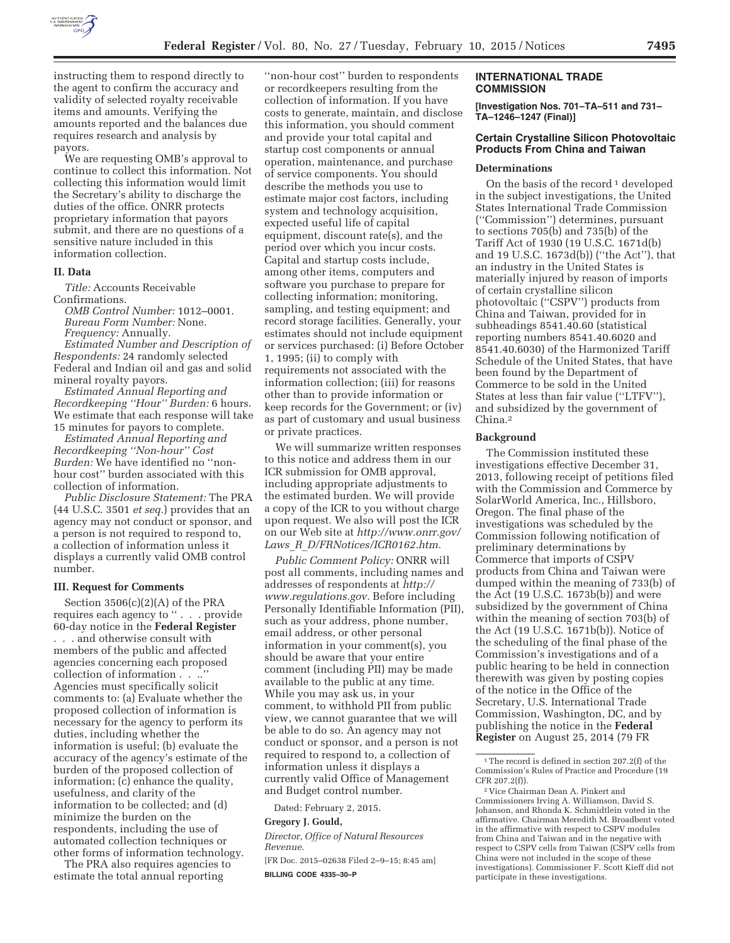

instructing them to respond directly to the agent to confirm the accuracy and validity of selected royalty receivable items and amounts. Verifying the amounts reported and the balances due requires research and analysis by payors.

We are requesting OMB's approval to continue to collect this information. Not collecting this information would limit the Secretary's ability to discharge the duties of the office. ONRR protects proprietary information that payors submit, and there are no questions of a sensitive nature included in this information collection.

### **II. Data**

*Title:* Accounts Receivable Confirmations.

*OMB Control Number:* 1012–0001. *Bureau Form Number:* None. *Frequency:* Annually.

*Estimated Number and Description of Respondents:* 24 randomly selected Federal and Indian oil and gas and solid mineral royalty payors.

*Estimated Annual Reporting and Recordkeeping ''Hour'' Burden:* 6 hours. We estimate that each response will take 15 minutes for payors to complete.

*Estimated Annual Reporting and Recordkeeping ''Non-hour'' Cost Burden:* We have identified no ''nonhour cost'' burden associated with this collection of information.

*Public Disclosure Statement:* The PRA (44 U.S.C. 3501 *et seq.*) provides that an agency may not conduct or sponsor, and a person is not required to respond to, a collection of information unless it displays a currently valid OMB control number.

## **III. Request for Comments**

Section 3506(c)(2)(A) of the PRA requires each agency to '' . . . provide 60-day notice in the **Federal Register**  . . . and otherwise consult with members of the public and affected agencies concerning each proposed collection of information . . ..'' Agencies must specifically solicit comments to: (a) Evaluate whether the proposed collection of information is necessary for the agency to perform its duties, including whether the information is useful; (b) evaluate the accuracy of the agency's estimate of the burden of the proposed collection of information; (c) enhance the quality, usefulness, and clarity of the information to be collected; and (d) minimize the burden on the respondents, including the use of automated collection techniques or other forms of information technology.

The PRA also requires agencies to estimate the total annual reporting

''non-hour cost'' burden to respondents or recordkeepers resulting from the collection of information. If you have costs to generate, maintain, and disclose this information, you should comment and provide your total capital and startup cost components or annual operation, maintenance, and purchase of service components. You should describe the methods you use to estimate major cost factors, including system and technology acquisition, expected useful life of capital equipment, discount rate(s), and the period over which you incur costs. Capital and startup costs include, among other items, computers and software you purchase to prepare for collecting information; monitoring, sampling, and testing equipment; and record storage facilities. Generally, your estimates should not include equipment or services purchased: (i) Before October 1, 1995; (ii) to comply with requirements not associated with the information collection; (iii) for reasons other than to provide information or keep records for the Government; or (iv) as part of customary and usual business or private practices.

We will summarize written responses to this notice and address them in our ICR submission for OMB approval, including appropriate adjustments to the estimated burden. We will provide a copy of the ICR to you without charge upon request. We also will post the ICR on our Web site at *http://www.onrr.gov/ Laws*\_*R*\_*D/FRNotices/ICR0162.htm.* 

*Public Comment Policy:* ONRR will post all comments, including names and addresses of respondents at *http:// www.regulations.gov.* Before including Personally Identifiable Information (PII), such as your address, phone number, email address, or other personal information in your comment(s), you should be aware that your entire comment (including PII) may be made available to the public at any time. While you may ask us, in your comment, to withhold PII from public view, we cannot guarantee that we will be able to do so. An agency may not conduct or sponsor, and a person is not required to respond to, a collection of information unless it displays a currently valid Office of Management and Budget control number.

Dated: February 2, 2015.

#### **Gregory J. Gould,**

*Director, Office of Natural Resources Revenue.* 

[FR Doc. 2015–02638 Filed 2–9–15; 8:45 am] **BILLING CODE 4335–30–P** 

### **INTERNATIONAL TRADE COMMISSION**

**[Investigation Nos. 701–TA–511 and 731– TA–1246–1247 (Final)]** 

# **Certain Crystalline Silicon Photovoltaic Products From China and Taiwan**

### **Determinations**

On the basis of the record<sup>1</sup> developed in the subject investigations, the United States International Trade Commission (''Commission'') determines, pursuant to sections 705(b) and 735(b) of the Tariff Act of 1930 (19 U.S.C. 1671d(b) and 19 U.S.C. 1673d(b)) (''the Act''), that an industry in the United States is materially injured by reason of imports of certain crystalline silicon photovoltaic (''CSPV'') products from China and Taiwan, provided for in subheadings 8541.40.60 (statistical reporting numbers 8541.40.6020 and 8541.40.6030) of the Harmonized Tariff Schedule of the United States, that have been found by the Department of Commerce to be sold in the United States at less than fair value (''LTFV''), and subsidized by the government of China.2

# **Background**

The Commission instituted these investigations effective December 31, 2013, following receipt of petitions filed with the Commission and Commerce by SolarWorld America, Inc., Hillsboro, Oregon. The final phase of the investigations was scheduled by the Commission following notification of preliminary determinations by Commerce that imports of CSPV products from China and Taiwan were dumped within the meaning of 733(b) of the Act (19 U.S.C. 1673b(b)) and were subsidized by the government of China within the meaning of section 703(b) of the Act (19 U.S.C. 1671b(b)). Notice of the scheduling of the final phase of the Commission's investigations and of a public hearing to be held in connection therewith was given by posting copies of the notice in the Office of the Secretary, U.S. International Trade Commission, Washington, DC, and by publishing the notice in the **Federal Register** on August 25, 2014 (79 FR

<sup>&</sup>lt;sup>1</sup>The record is defined in section 207.2(f) of the Commission's Rules of Practice and Procedure (19 CFR 207.2(f)).

<sup>2</sup> Vice Chairman Dean A. Pinkert and Commissioners Irving A. Williamson, David S. Johanson, and Rhonda K. Schmidtlein voted in the affirmative. Chairman Meredith M. Broadbent voted in the affirmative with respect to CSPV modules from China and Taiwan and in the negative with respect to CSPV cells from Taiwan (CSPV cells from China were not included in the scope of these investigations). Commissioner F. Scott Kieff did not participate in these investigations.